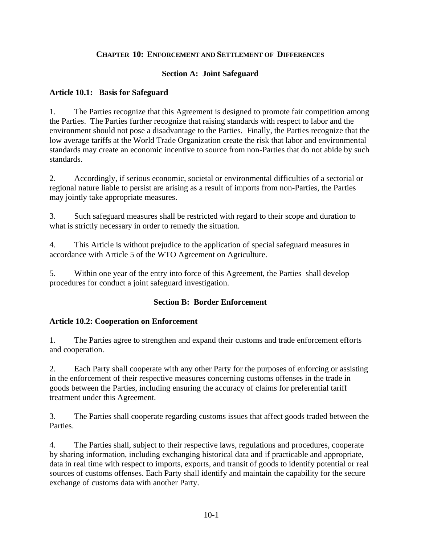#### **CHAPTER 10: ENFORCEMENT AND SETTLEMENT OF DIFFERENCES**

#### **Section A: Joint Safeguard**

#### **Article 10.1: Basis for Safeguard**

1. The Parties recognize that this Agreement is designed to promote fair competition among the Parties. The Parties further recognize that raising standards with respect to labor and the environment should not pose a disadvantage to the Parties. Finally, the Parties recognize that the low average tariffs at the World Trade Organization create the risk that labor and environmental standards may create an economic incentive to source from non-Parties that do not abide by such standards.

2. Accordingly, if serious economic, societal or environmental difficulties of a sectorial or regional nature liable to persist are arising as a result of imports from non-Parties, the Parties may jointly take appropriate measures.

3. Such safeguard measures shall be restricted with regard to their scope and duration to what is strictly necessary in order to remedy the situation.

4. This Article is without prejudice to the application of special safeguard measures in accordance with Article 5 of the WTO Agreement on Agriculture.

5. Within one year of the entry into force of this Agreement, the Parties shall develop procedures for conduct a joint safeguard investigation.

# **Section B: Border Enforcement**

#### **Article 10.2: Cooperation on Enforcement**

1. The Parties agree to strengthen and expand their customs and trade enforcement efforts and cooperation.

2. Each Party shall cooperate with any other Party for the purposes of enforcing or assisting in the enforcement of their respective measures concerning customs offenses in the trade in goods between the Parties, including ensuring the accuracy of claims for preferential tariff treatment under this Agreement.

3. The Parties shall cooperate regarding customs issues that affect goods traded between the Parties.

4. The Parties shall, subject to their respective laws, regulations and procedures, cooperate by sharing information, including exchanging historical data and if practicable and appropriate, data in real time with respect to imports, exports, and transit of goods to identify potential or real sources of customs offenses. Each Party shall identify and maintain the capability for the secure exchange of customs data with another Party.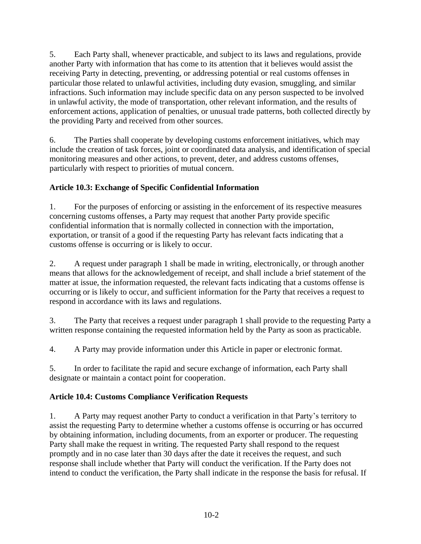5. Each Party shall, whenever practicable, and subject to its laws and regulations, provide another Party with information that has come to its attention that it believes would assist the receiving Party in detecting, preventing, or addressing potential or real customs offenses in particular those related to unlawful activities, including duty evasion, smuggling, and similar infractions. Such information may include specific data on any person suspected to be involved in unlawful activity, the mode of transportation, other relevant information, and the results of enforcement actions, application of penalties, or unusual trade patterns, both collected directly by the providing Party and received from other sources.

6. The Parties shall cooperate by developing customs enforcement initiatives, which may include the creation of task forces, joint or coordinated data analysis, and identification of special monitoring measures and other actions, to prevent, deter, and address customs offenses, particularly with respect to priorities of mutual concern.

# **Article 10.3: Exchange of Specific Confidential Information**

1. For the purposes of enforcing or assisting in the enforcement of its respective measures concerning customs offenses, a Party may request that another Party provide specific confidential information that is normally collected in connection with the importation, exportation, or transit of a good if the requesting Party has relevant facts indicating that a customs offense is occurring or is likely to occur.

2. A request under paragraph 1 shall be made in writing, electronically, or through another means that allows for the acknowledgement of receipt, and shall include a brief statement of the matter at issue, the information requested, the relevant facts indicating that a customs offense is occurring or is likely to occur, and sufficient information for the Party that receives a request to respond in accordance with its laws and regulations.

3. The Party that receives a request under paragraph 1 shall provide to the requesting Party a written response containing the requested information held by the Party as soon as practicable.

4. A Party may provide information under this Article in paper or electronic format.

5. In order to facilitate the rapid and secure exchange of information, each Party shall designate or maintain a contact point for cooperation.

# **Article 10.4: Customs Compliance Verification Requests**

1. A Party may request another Party to conduct a verification in that Party's territory to assist the requesting Party to determine whether a customs offense is occurring or has occurred by obtaining information, including documents, from an exporter or producer. The requesting Party shall make the request in writing. The requested Party shall respond to the request promptly and in no case later than 30 days after the date it receives the request, and such response shall include whether that Party will conduct the verification. If the Party does not intend to conduct the verification, the Party shall indicate in the response the basis for refusal. If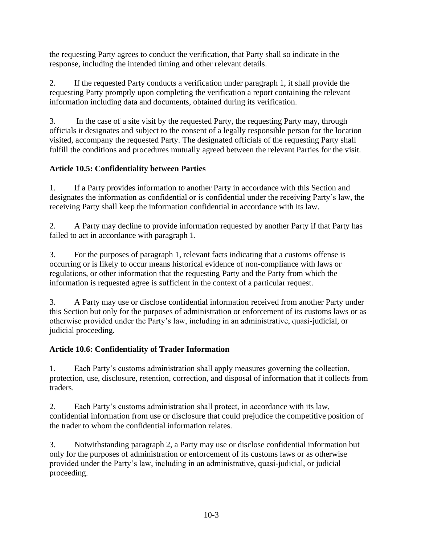the requesting Party agrees to conduct the verification, that Party shall so indicate in the response, including the intended timing and other relevant details.

2. If the requested Party conducts a verification under paragraph 1, it shall provide the requesting Party promptly upon completing the verification a report containing the relevant information including data and documents, obtained during its verification.

3. In the case of a site visit by the requested Party, the requesting Party may, through officials it designates and subject to the consent of a legally responsible person for the location visited, accompany the requested Party. The designated officials of the requesting Party shall fulfill the conditions and procedures mutually agreed between the relevant Parties for the visit.

# **Article 10.5: Confidentiality between Parties**

1. If a Party provides information to another Party in accordance with this Section and designates the information as confidential or is confidential under the receiving Party's law, the receiving Party shall keep the information confidential in accordance with its law.

2. A Party may decline to provide information requested by another Party if that Party has failed to act in accordance with paragraph 1.

3. For the purposes of paragraph 1, relevant facts indicating that a customs offense is occurring or is likely to occur means historical evidence of non-compliance with laws or regulations, or other information that the requesting Party and the Party from which the information is requested agree is sufficient in the context of a particular request.

3. A Party may use or disclose confidential information received from another Party under this Section but only for the purposes of administration or enforcement of its customs laws or as otherwise provided under the Party's law, including in an administrative, quasi-judicial, or judicial proceeding.

# **Article 10.6: Confidentiality of Trader Information**

1. Each Party's customs administration shall apply measures governing the collection, protection, use, disclosure, retention, correction, and disposal of information that it collects from traders.

2. Each Party's customs administration shall protect, in accordance with its law, confidential information from use or disclosure that could prejudice the competitive position of the trader to whom the confidential information relates.

3. Notwithstanding paragraph 2, a Party may use or disclose confidential information but only for the purposes of administration or enforcement of its customs laws or as otherwise provided under the Party's law, including in an administrative, quasi-judicial, or judicial proceeding.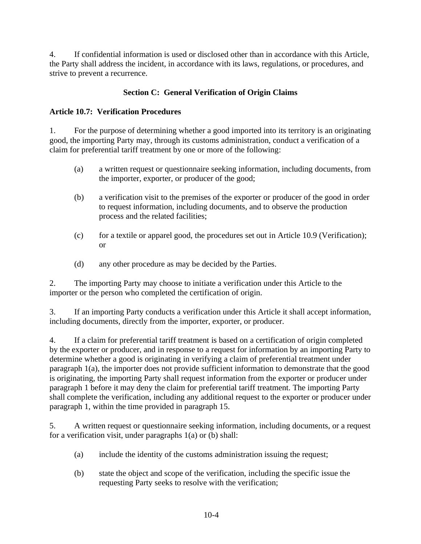4. If confidential information is used or disclosed other than in accordance with this Article, the Party shall address the incident, in accordance with its laws, regulations, or procedures, and strive to prevent a recurrence.

# **Section C: General Verification of Origin Claims**

#### **Article 10.7: Verification Procedures**

1. For the purpose of determining whether a good imported into its territory is an originating good, the importing Party may, through its customs administration, conduct a verification of a claim for preferential tariff treatment by one or more of the following:

- (a) a written request or questionnaire seeking information, including documents, from the importer, exporter, or producer of the good;
- (b) a verification visit to the premises of the exporter or producer of the good in order to request information, including documents, and to observe the production process and the related facilities;
- $(c)$  for a textile or apparel good, the procedures set out in Article 10.9 (Verification); or
- (d) any other procedure as may be decided by the Parties.

2. The importing Party may choose to initiate a verification under this Article to the importer or the person who completed the certification of origin.

3. If an importing Party conducts a verification under this Article it shall accept information, including documents, directly from the importer, exporter, or producer.

4. If a claim for preferential tariff treatment is based on a certification of origin completed by the exporter or producer, and in response to a request for information by an importing Party to determine whether a good is originating in verifying a claim of preferential treatment under paragraph 1(a), the importer does not provide sufficient information to demonstrate that the good is originating, the importing Party shall request information from the exporter or producer under paragraph 1 before it may deny the claim for preferential tariff treatment. The importing Party shall complete the verification, including any additional request to the exporter or producer under paragraph 1, within the time provided in paragraph 15.

5. A written request or questionnaire seeking information, including documents, or a request for a verification visit, under paragraphs 1(a) or (b) shall:

- (a) include the identity of the customs administration issuing the request;
- (b) state the object and scope of the verification, including the specific issue the requesting Party seeks to resolve with the verification;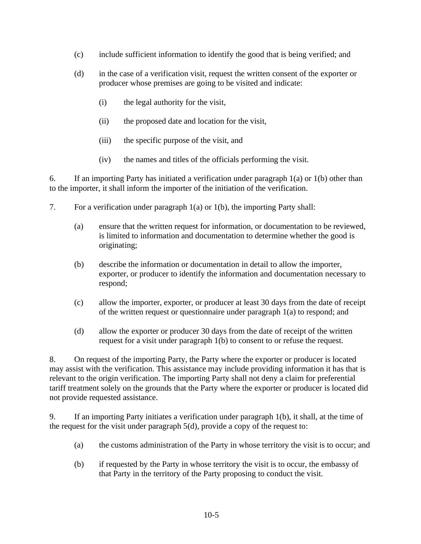- (c) include sufficient information to identify the good that is being verified; and
- (d) in the case of a verification visit, request the written consent of the exporter or producer whose premises are going to be visited and indicate:
	- (i) the legal authority for the visit,
	- (ii) the proposed date and location for the visit,
	- (iii) the specific purpose of the visit, and
	- (iv) the names and titles of the officials performing the visit.

6. If an importing Party has initiated a verification under paragraph  $1(a)$  or  $1(b)$  other than to the importer, it shall inform the importer of the initiation of the verification.

- 7. For a verification under paragraph 1(a) or 1(b), the importing Party shall:
	- (a) ensure that the written request for information, or documentation to be reviewed, is limited to information and documentation to determine whether the good is originating;
	- (b) describe the information or documentation in detail to allow the importer, exporter, or producer to identify the information and documentation necessary to respond;
	- (c) allow the importer, exporter, or producer at least 30 days from the date of receipt of the written request or questionnaire under paragraph 1(a) to respond; and
	- (d) allow the exporter or producer 30 days from the date of receipt of the written request for a visit under paragraph 1(b) to consent to or refuse the request.

8. On request of the importing Party, the Party where the exporter or producer is located may assist with the verification. This assistance may include providing information it has that is relevant to the origin verification. The importing Party shall not deny a claim for preferential tariff treatment solely on the grounds that the Party where the exporter or producer is located did not provide requested assistance.

9. If an importing Party initiates a verification under paragraph 1(b), it shall, at the time of the request for the visit under paragraph  $5(d)$ , provide a copy of the request to:

- (a) the customs administration of the Party in whose territory the visit is to occur; and
- (b) if requested by the Party in whose territory the visit is to occur, the embassy of that Party in the territory of the Party proposing to conduct the visit.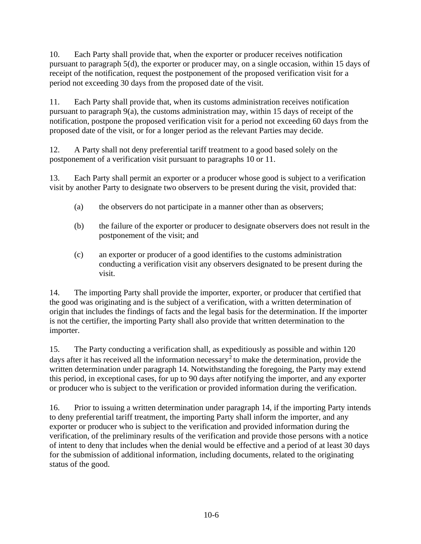10. Each Party shall provide that, when the exporter or producer receives notification pursuant to paragraph 5(d), the exporter or producer may, on a single occasion, within 15 days of receipt of the notification, request the postponement of the proposed verification visit for a period not exceeding 30 days from the proposed date of the visit.

11. Each Party shall provide that, when its customs administration receives notification pursuant to paragraph 9(a), the customs administration may, within 15 days of receipt of the notification, postpone the proposed verification visit for a period not exceeding 60 days from the proposed date of the visit, or for a longer period as the relevant Parties may decide.

12. A Party shall not deny preferential tariff treatment to a good based solely on the postponement of a verification visit pursuant to paragraphs 10 or 11.

13. Each Party shall permit an exporter or a producer whose good is subject to a verification visit by another Party to designate two observers to be present during the visit, provided that:

- (a) the observers do not participate in a manner other than as observers;
- (b) the failure of the exporter or producer to designate observers does not result in the postponement of the visit; and
- (c) an exporter or producer of a good identifies to the customs administration conducting a verification visit any observers designated to be present during the visit.

14. The importing Party shall provide the importer, exporter, or producer that certified that the good was originating and is the subject of a verification, with a written determination of origin that includes the findings of facts and the legal basis for the determination. If the importer is not the certifier, the importing Party shall also provide that written determination to the importer.

15. The Party conducting a verification shall, as expeditiously as possible and within 120 days after it has received all the information necessary<sup>2</sup> to make the determination, provide the written determination under paragraph 14. Notwithstanding the foregoing, the Party may extend this period, in exceptional cases, for up to 90 days after notifying the importer, and any exporter or producer who is subject to the verification or provided information during the verification.

16. Prior to issuing a written determination under paragraph 14, if the importing Party intends to deny preferential tariff treatment, the importing Party shall inform the importer, and any exporter or producer who is subject to the verification and provided information during the verification, of the preliminary results of the verification and provide those persons with a notice of intent to deny that includes when the denial would be effective and a period of at least 30 days for the submission of additional information, including documents, related to the originating status of the good.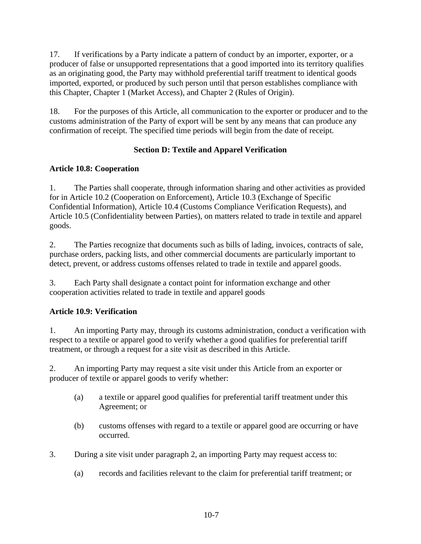17. If verifications by a Party indicate a pattern of conduct by an importer, exporter, or a producer of false or unsupported representations that a good imported into its territory qualifies as an originating good, the Party may withhold preferential tariff treatment to identical goods imported, exported, or produced by such person until that person establishes compliance with this Chapter, Chapter 1 (Market Access), and Chapter 2 (Rules of Origin).

18. For the purposes of this Article, all communication to the exporter or producer and to the customs administration of the Party of export will be sent by any means that can produce any confirmation of receipt. The specified time periods will begin from the date of receipt.

# **Section D: Textile and Apparel Verification**

#### **Article 10.8: Cooperation**

1. The Parties shall cooperate, through information sharing and other activities as provided for in Article 10.2 (Cooperation on Enforcement), Article 10.3 (Exchange of Specific Confidential Information), Article 10.4 (Customs Compliance Verification Requests), and Article 10.5 (Confidentiality between Parties), on matters related to trade in textile and apparel goods.

2. The Parties recognize that documents such as bills of lading, invoices, contracts of sale, purchase orders, packing lists, and other commercial documents are particularly important to detect, prevent, or address customs offenses related to trade in textile and apparel goods.

3. Each Party shall designate a contact point for information exchange and other cooperation activities related to trade in textile and apparel goods

# **Article 10.9: Verification**

1. An importing Party may, through its customs administration, conduct a verification with respect to a textile or apparel good to verify whether a good qualifies for preferential tariff treatment, or through a request for a site visit as described in this Article.

2. An importing Party may request a site visit under this Article from an exporter or producer of textile or apparel goods to verify whether:

- (a) a textile or apparel good qualifies for preferential tariff treatment under this Agreement; or
- (b) customs offenses with regard to a textile or apparel good are occurring or have occurred.
- 3. During a site visit under paragraph 2, an importing Party may request access to:
	- (a) records and facilities relevant to the claim for preferential tariff treatment; or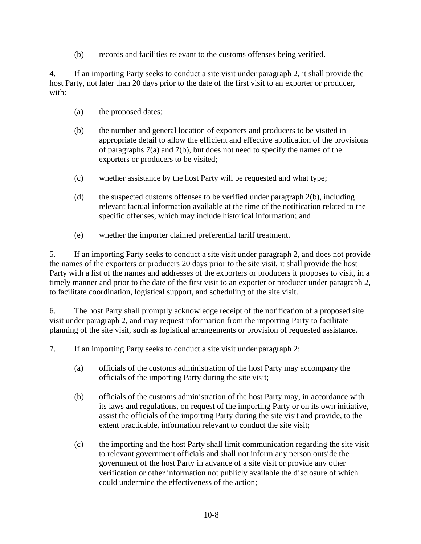(b) records and facilities relevant to the customs offenses being verified.

4. If an importing Party seeks to conduct a site visit under paragraph 2, it shall provide the host Party, not later than 20 days prior to the date of the first visit to an exporter or producer, with:

- (a) the proposed dates;
- (b) the number and general location of exporters and producers to be visited in appropriate detail to allow the efficient and effective application of the provisions of paragraphs 7(a) and 7(b), but does not need to specify the names of the exporters or producers to be visited;
- (c) whether assistance by the host Party will be requested and what type;
- (d) the suspected customs offenses to be verified under paragraph 2(b), including relevant factual information available at the time of the notification related to the specific offenses, which may include historical information; and
- (e) whether the importer claimed preferential tariff treatment.

5. If an importing Party seeks to conduct a site visit under paragraph 2, and does not provide the names of the exporters or producers 20 days prior to the site visit, it shall provide the host Party with a list of the names and addresses of the exporters or producers it proposes to visit, in a timely manner and prior to the date of the first visit to an exporter or producer under paragraph 2, to facilitate coordination, logistical support, and scheduling of the site visit.

6. The host Party shall promptly acknowledge receipt of the notification of a proposed site visit under paragraph 2, and may request information from the importing Party to facilitate planning of the site visit, such as logistical arrangements or provision of requested assistance.

7. If an importing Party seeks to conduct a site visit under paragraph 2:

- (a) officials of the customs administration of the host Party may accompany the officials of the importing Party during the site visit;
- (b) officials of the customs administration of the host Party may, in accordance with its laws and regulations, on request of the importing Party or on its own initiative, assist the officials of the importing Party during the site visit and provide, to the extent practicable, information relevant to conduct the site visit;
- (c) the importing and the host Party shall limit communication regarding the site visit to relevant government officials and shall not inform any person outside the government of the host Party in advance of a site visit or provide any other verification or other information not publicly available the disclosure of which could undermine the effectiveness of the action;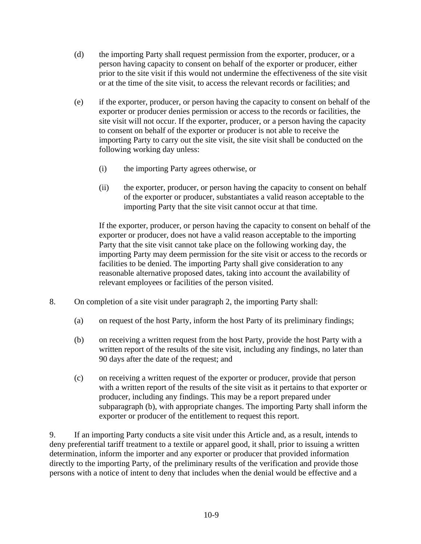- (d) the importing Party shall request permission from the exporter, producer, or a person having capacity to consent on behalf of the exporter or producer, either prior to the site visit if this would not undermine the effectiveness of the site visit or at the time of the site visit, to access the relevant records or facilities; and
- (e) if the exporter, producer, or person having the capacity to consent on behalf of the exporter or producer denies permission or access to the records or facilities, the site visit will not occur. If the exporter, producer, or a person having the capacity to consent on behalf of the exporter or producer is not able to receive the importing Party to carry out the site visit, the site visit shall be conducted on the following working day unless:
	- (i) the importing Party agrees otherwise, or
	- (ii) the exporter, producer, or person having the capacity to consent on behalf of the exporter or producer, substantiates a valid reason acceptable to the importing Party that the site visit cannot occur at that time.

If the exporter, producer, or person having the capacity to consent on behalf of the exporter or producer, does not have a valid reason acceptable to the importing Party that the site visit cannot take place on the following working day, the importing Party may deem permission for the site visit or access to the records or facilities to be denied. The importing Party shall give consideration to any reasonable alternative proposed dates, taking into account the availability of relevant employees or facilities of the person visited.

- 8. On completion of a site visit under paragraph 2, the importing Party shall:
	- (a) on request of the host Party, inform the host Party of its preliminary findings;
	- (b) on receiving a written request from the host Party, provide the host Party with a written report of the results of the site visit, including any findings, no later than 90 days after the date of the request; and
	- (c) on receiving a written request of the exporter or producer, provide that person with a written report of the results of the site visit as it pertains to that exporter or producer, including any findings. This may be a report prepared under subparagraph (b), with appropriate changes. The importing Party shall inform the exporter or producer of the entitlement to request this report.

9. If an importing Party conducts a site visit under this Article and, as a result, intends to deny preferential tariff treatment to a textile or apparel good, it shall, prior to issuing a written determination, inform the importer and any exporter or producer that provided information directly to the importing Party, of the preliminary results of the verification and provide those persons with a notice of intent to deny that includes when the denial would be effective and a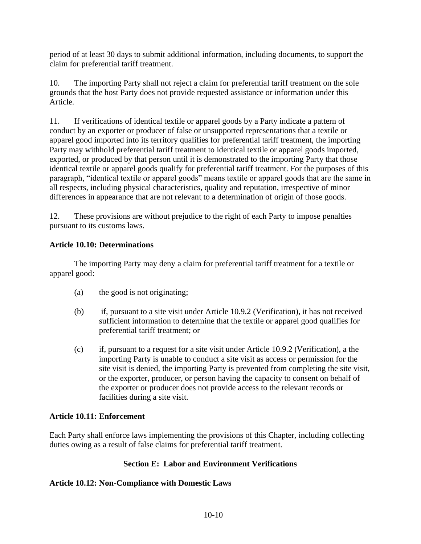period of at least 30 days to submit additional information, including documents, to support the claim for preferential tariff treatment.

10. The importing Party shall not reject a claim for preferential tariff treatment on the sole grounds that the host Party does not provide requested assistance or information under this Article.

11. If verifications of identical textile or apparel goods by a Party indicate a pattern of conduct by an exporter or producer of false or unsupported representations that a textile or apparel good imported into its territory qualifies for preferential tariff treatment, the importing Party may withhold preferential tariff treatment to identical textile or apparel goods imported, exported, or produced by that person until it is demonstrated to the importing Party that those identical textile or apparel goods qualify for preferential tariff treatment. For the purposes of this paragraph, "identical textile or apparel goods" means textile or apparel goods that are the same in all respects, including physical characteristics, quality and reputation, irrespective of minor differences in appearance that are not relevant to a determination of origin of those goods.

12. These provisions are without prejudice to the right of each Party to impose penalties pursuant to its customs laws.

#### **Article 10.10: Determinations**

The importing Party may deny a claim for preferential tariff treatment for a textile or apparel good:

- (a) the good is not originating;
- (b) if, pursuant to a site visit under Article 10.9.2 (Verification), it has not received sufficient information to determine that the textile or apparel good qualifies for preferential tariff treatment; or
- (c) if, pursuant to a request for a site visit under Article 10.9.2 (Verification), a the importing Party is unable to conduct a site visit as access or permission for the site visit is denied, the importing Party is prevented from completing the site visit, or the exporter, producer, or person having the capacity to consent on behalf of the exporter or producer does not provide access to the relevant records or facilities during a site visit.

#### **Article 10.11: Enforcement**

Each Party shall enforce laws implementing the provisions of this Chapter, including collecting duties owing as a result of false claims for preferential tariff treatment.

#### **Section E: Labor and Environment Verifications**

#### **Article 10.12: Non-Compliance with Domestic Laws**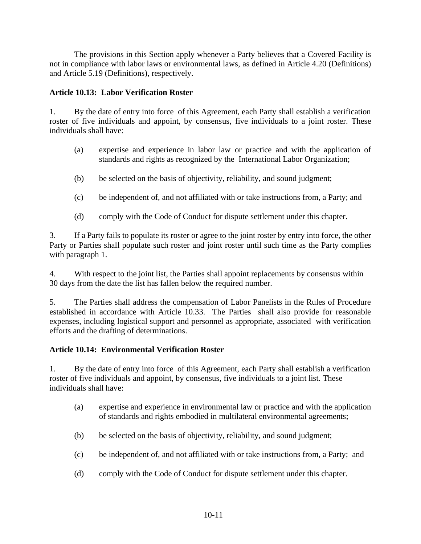The provisions in this Section apply whenever a Party believes that a Covered Facility is not in compliance with labor laws or environmental laws, as defined in Article 4.20 (Definitions) and Article 5.19 (Definitions), respectively.

#### **Article 10.13: Labor Verification Roster**

1. By the date of entry into force of this Agreement, each Party shall establish a verification roster of five individuals and appoint, by consensus, five individuals to a joint roster. These individuals shall have:

- (a) expertise and experience in labor law or practice and with the application of standards and rights as recognized by the International Labor Organization;
- (b) be selected on the basis of objectivity, reliability, and sound judgment;
- (c) be independent of, and not affiliated with or take instructions from, a Party; and
- (d) comply with the Code of Conduct for dispute settlement under this chapter.

3. If a Party fails to populate its roster or agree to the joint roster by entry into force, the other Party or Parties shall populate such roster and joint roster until such time as the Party complies with paragraph 1.

4. With respect to the joint list, the Parties shall appoint replacements by consensus within 30 days from the date the list has fallen below the required number.

5. The Parties shall address the compensation of Labor Panelists in the Rules of Procedure established in accordance with Article 10.33. The Parties shall also provide for reasonable expenses, including logistical support and personnel as appropriate, associated with verification efforts and the drafting of determinations.

#### **Article 10.14: Environmental Verification Roster**

1. By the date of entry into force of this Agreement, each Party shall establish a verification roster of five individuals and appoint, by consensus, five individuals to a joint list. These individuals shall have:

- (a) expertise and experience in environmental law or practice and with the application of standards and rights embodied in multilateral environmental agreements;
- (b) be selected on the basis of objectivity, reliability, and sound judgment;
- (c) be independent of, and not affiliated with or take instructions from, a Party; and
- (d) comply with the Code of Conduct for dispute settlement under this chapter.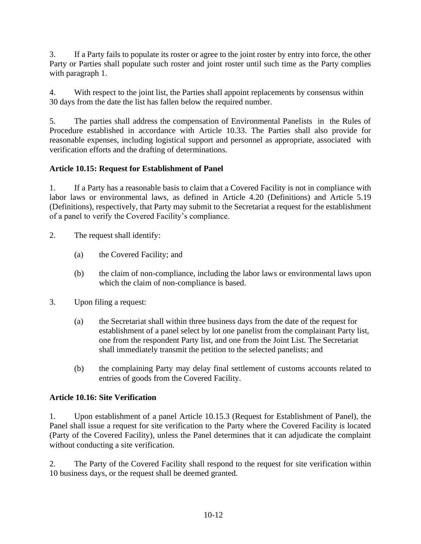3. If a Party fails to populate its roster or agree to the joint roster by entry into force, the other Party or Parties shall populate such roster and joint roster until such time as the Party complies with paragraph 1.

4. With respect to the joint list, the Parties shall appoint replacements by consensus within 30 days from the date the list has fallen below the required number.

5. The parties shall address the compensation of Environmental Panelists in the Rules of Procedure established in accordance with Article 10.33. The Parties shall also provide for reasonable expenses, including logistical support and personnel as appropriate, associated with verification efforts and the drafting of determinations.

#### **Article 10.15: Request for Establishment of Panel**

1. If a Party has a reasonable basis to claim that a Covered Facility is not in compliance with labor laws or environmental laws, as defined in Article 4.20 (Definitions) and Article 5.19 (Definitions), respectively, that Party may submit to the Secretariat a request for the establishment of a panel to verify the Covered Facility's compliance.

- 2. The request shall identify:
	- (a) the Covered Facility; and
	- (b) the claim of non-compliance, including the labor laws or environmental laws upon which the claim of non-compliance is based.
- 3. Upon filing a request:
	- (a) the Secretariat shall within three business days from the date of the request for establishment of a panel select by lot one panelist from the complainant Party list, one from the respondent Party list, and one from the Joint List. The Secretariat shall immediately transmit the petition to the selected panelists; and
	- (b) the complaining Party may delay final settlement of customs accounts related to entries of goods from the Covered Facility.

#### **Article 10.16: Site Verification**

1. Upon establishment of a panel Article 10.15.3 (Request for Establishment of Panel), the Panel shall issue a request for site verification to the Party where the Covered Facility is located (Party of the Covered Facility), unless the Panel determines that it can adjudicate the complaint without conducting a site verification.

2. The Party of the Covered Facility shall respond to the request for site verification within 10 business days, or the request shall be deemed granted.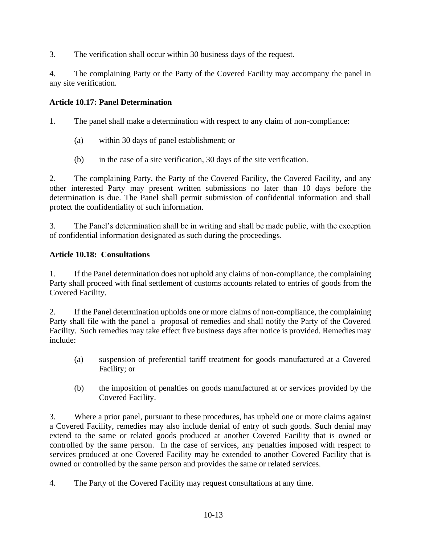3. The verification shall occur within 30 business days of the request.

4. The complaining Party or the Party of the Covered Facility may accompany the panel in any site verification.

#### **Article 10.17: Panel Determination**

1. The panel shall make a determination with respect to any claim of non-compliance:

- (a) within 30 days of panel establishment; or
- (b) in the case of a site verification, 30 days of the site verification.

2. The complaining Party, the Party of the Covered Facility, the Covered Facility, and any other interested Party may present written submissions no later than 10 days before the determination is due. The Panel shall permit submission of confidential information and shall protect the confidentiality of such information.

3. The Panel's determination shall be in writing and shall be made public, with the exception of confidential information designated as such during the proceedings.

#### **Article 10.18: Consultations**

1. If the Panel determination does not uphold any claims of non-compliance, the complaining Party shall proceed with final settlement of customs accounts related to entries of goods from the Covered Facility.

2. If the Panel determination upholds one or more claims of non-compliance, the complaining Party shall file with the panel a proposal of remedies and shall notify the Party of the Covered Facility. Such remedies may take effect five business days after notice is provided. Remedies may include:

- (a) suspension of preferential tariff treatment for goods manufactured at a Covered Facility; or
- (b) the imposition of penalties on goods manufactured at or services provided by the Covered Facility.

3. Where a prior panel, pursuant to these procedures, has upheld one or more claims against a Covered Facility, remedies may also include denial of entry of such goods. Such denial may extend to the same or related goods produced at another Covered Facility that is owned or controlled by the same person. In the case of services, any penalties imposed with respect to services produced at one Covered Facility may be extended to another Covered Facility that is owned or controlled by the same person and provides the same or related services.

4. The Party of the Covered Facility may request consultations at any time.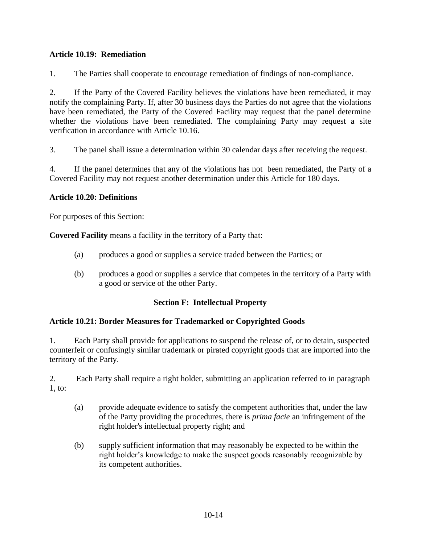#### **Article 10.19: Remediation**

1. The Parties shall cooperate to encourage remediation of findings of non-compliance.

2. If the Party of the Covered Facility believes the violations have been remediated, it may notify the complaining Party. If, after 30 business days the Parties do not agree that the violations have been remediated, the Party of the Covered Facility may request that the panel determine whether the violations have been remediated. The complaining Party may request a site verification in accordance with Article 10.16.

3. The panel shall issue a determination within 30 calendar days after receiving the request.

4. If the panel determines that any of the violations has not been remediated, the Party of a Covered Facility may not request another determination under this Article for 180 days.

#### **Article 10.20: Definitions**

For purposes of this Section:

**Covered Facility** means a facility in the territory of a Party that:

- (a) produces a good or supplies a service traded between the Parties; or
- (b) produces a good or supplies a service that competes in the territory of a Party with a good or service of the other Party.

# **Section F: Intellectual Property**

# **Article 10.21: Border Measures for Trademarked or Copyrighted Goods**

1. Each Party shall provide for applications to suspend the release of, or to detain, suspected counterfeit or confusingly similar trademark or pirated copyright goods that are imported into the territory of the Party.

2. Each Party shall require a right holder, submitting an application referred to in paragraph 1, to:

- (a) provide adequate evidence to satisfy the competent authorities that, under the law of the Party providing the procedures, there is *prima facie* an infringement of the right holder's intellectual property right; and
- (b) supply sufficient information that may reasonably be expected to be within the right holder's knowledge to make the suspect goods reasonably recognizable by its competent authorities.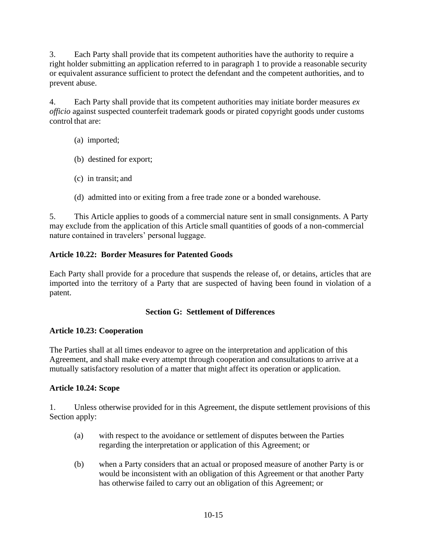3. Each Party shall provide that its competent authorities have the authority to require a right holder submitting an application referred to in paragraph 1 to provide a reasonable security or equivalent assurance sufficient to protect the defendant and the competent authorities, and to prevent abuse.

4. Each Party shall provide that its competent authorities may initiate border measures *ex officio* against suspected counterfeit trademark goods or pirated copyright goods under customs control that are:

- (a) imported;
- (b) destined for export;
- (c) in transit; and
- (d) admitted into or exiting from a free trade zone or a bonded warehouse.

5. This Article applies to goods of a commercial nature sent in small consignments. A Party may exclude from the application of this Article small quantities of goods of a non-commercial nature contained in travelers' personal luggage.

# **Article 10.22: Border Measures for Patented Goods**

Each Party shall provide for a procedure that suspends the release of, or detains, articles that are imported into the territory of a Party that are suspected of having been found in violation of a patent.

# **Section G: Settlement of Differences**

# **Article 10.23: Cooperation**

The Parties shall at all times endeavor to agree on the interpretation and application of this Agreement, and shall make every attempt through cooperation and consultations to arrive at a mutually satisfactory resolution of a matter that might affect its operation or application.

# **Article 10.24: Scope**

1. Unless otherwise provided for in this Agreement, the dispute settlement provisions of this Section apply:

- (a) with respect to the avoidance or settlement of disputes between the Parties regarding the interpretation or application of this Agreement; or
- (b) when a Party considers that an actual or proposed measure of another Party is or would be inconsistent with an obligation of this Agreement or that another Party has otherwise failed to carry out an obligation of this Agreement; or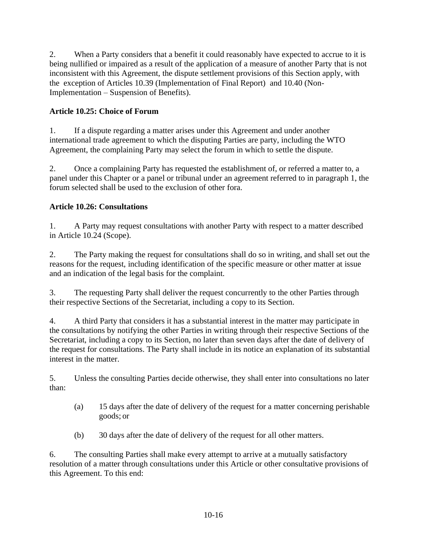2. When a Party considers that a benefit it could reasonably have expected to accrue to it is being nullified or impaired as a result of the application of a measure of another Party that is not inconsistent with this Agreement, the dispute settlement provisions of this Section apply, with the exception of Articles 10.39 (Implementation of Final Report) and 10.40 (Non-Implementation – Suspension of Benefits).

#### **Article 10.25: Choice of Forum**

1. If a dispute regarding a matter arises under this Agreement and under another international trade agreement to which the disputing Parties are party, including the WTO Agreement, the complaining Party may select the forum in which to settle the dispute.

2. Once a complaining Party has requested the establishment of, or referred a matter to, a panel under this Chapter or a panel or tribunal under an agreement referred to in paragraph 1, the forum selected shall be used to the exclusion of other fora.

#### **Article 10.26: Consultations**

1. A Party may request consultations with another Party with respect to a matter described in Article 10.24 (Scope).

2. The Party making the request for consultations shall do so in writing, and shall set out the reasons for the request, including identification of the specific measure or other matter at issue and an indication of the legal basis for the complaint.

3. The requesting Party shall deliver the request concurrently to the other Parties through their respective Sections of the Secretariat, including a copy to its Section.

4. A third Party that considers it has a substantial interest in the matter may participate in the consultations by notifying the other Parties in writing through their respective Sections of the Secretariat, including a copy to its Section, no later than seven days after the date of delivery of the request for consultations. The Party shall include in its notice an explanation of its substantial interest in the matter.

5. Unless the consulting Parties decide otherwise, they shall enter into consultations no later than:

- (a) 15 days after the date of delivery of the request for a matter concerning perishable goods; or
- (b) 30 days after the date of delivery of the request for all other matters.

6. The consulting Parties shall make every attempt to arrive at a mutually satisfactory resolution of a matter through consultations under this Article or other consultative provisions of this Agreement. To this end: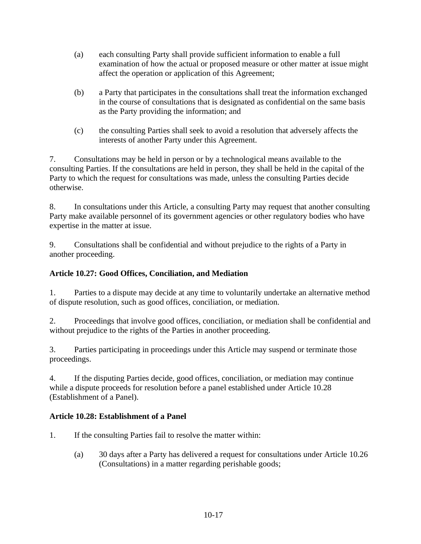- (a) each consulting Party shall provide sufficient information to enable a full examination of how the actual or proposed measure or other matter at issue might affect the operation or application of this Agreement;
- (b) a Party that participates in the consultations shall treat the information exchanged in the course of consultations that is designated as confidential on the same basis as the Party providing the information; and
- (c) the consulting Parties shall seek to avoid a resolution that adversely affects the interests of another Party under this Agreement.

7. Consultations may be held in person or by a technological means available to the consulting Parties. If the consultations are held in person, they shall be held in the capital of the Party to which the request for consultations was made, unless the consulting Parties decide otherwise.

8. In consultations under this Article, a consulting Party may request that another consulting Party make available personnel of its government agencies or other regulatory bodies who have expertise in the matter at issue.

9. Consultations shall be confidential and without prejudice to the rights of a Party in another proceeding.

# **Article 10.27: Good Offices, Conciliation, and Mediation**

1. Parties to a dispute may decide at any time to voluntarily undertake an alternative method of dispute resolution, such as good offices, conciliation, or mediation.

2. Proceedings that involve good offices, conciliation, or mediation shall be confidential and without prejudice to the rights of the Parties in another proceeding.

3. Parties participating in proceedings under this Article may suspend or terminate those proceedings.

4. If the disputing Parties decide, good offices, conciliation, or mediation may continue while a dispute proceeds for resolution before a panel established under Article 10.28 (Establishment of a Panel).

# **Article 10.28: Establishment of a Panel**

1. If the consulting Parties fail to resolve the matter within:

(a) 30 days after a Party has delivered a request for consultations under Article 10.26 (Consultations) in a matter regarding perishable goods;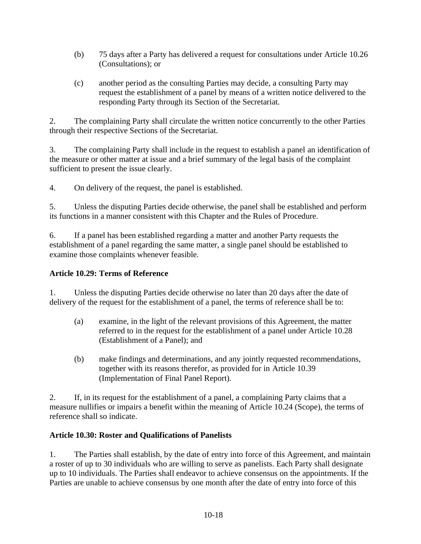- (b) 75 days after a Party has delivered a request for consultations under Article 10.26 (Consultations); or
- (c) another period as the consulting Parties may decide, a consulting Party may request the establishment of a panel by means of a written notice delivered to the responding Party through its Section of the Secretariat.

2. The complaining Party shall circulate the written notice concurrently to the other Parties through their respective Sections of the Secretariat.

3. The complaining Party shall include in the request to establish a panel an identification of the measure or other matter at issue and a brief summary of the legal basis of the complaint sufficient to present the issue clearly.

4. On delivery of the request, the panel is established.

5. Unless the disputing Parties decide otherwise, the panel shall be established and perform its functions in a manner consistent with this Chapter and the Rules of Procedure.

6. If a panel has been established regarding a matter and another Party requests the establishment of a panel regarding the same matter, a single panel should be established to examine those complaints whenever feasible.

# **Article 10.29: Terms of Reference**

1. Unless the disputing Parties decide otherwise no later than 20 days after the date of delivery of the request for the establishment of a panel, the terms of reference shall be to:

- (a) examine, in the light of the relevant provisions of this Agreement, the matter referred to in the request for the establishment of a panel under Article 10.28 (Establishment of a Panel); and
- (b) make findings and determinations, and any jointly requested recommendations, together with its reasons therefor, as provided for in Article 10.39 (Implementation of Final Panel Report).

2. If, in its request for the establishment of a panel, a complaining Party claims that a measure nullifies or impairs a benefit within the meaning of Article 10.24 (Scope), the terms of reference shall so indicate.

# **Article 10.30: Roster and Qualifications of Panelists**

1. The Parties shall establish, by the date of entry into force of this Agreement, and maintain a roster of up to 30 individuals who are willing to serve as panelists. Each Party shall designate up to 10 individuals. The Parties shall endeavor to achieve consensus on the appointments. If the Parties are unable to achieve consensus by one month after the date of entry into force of this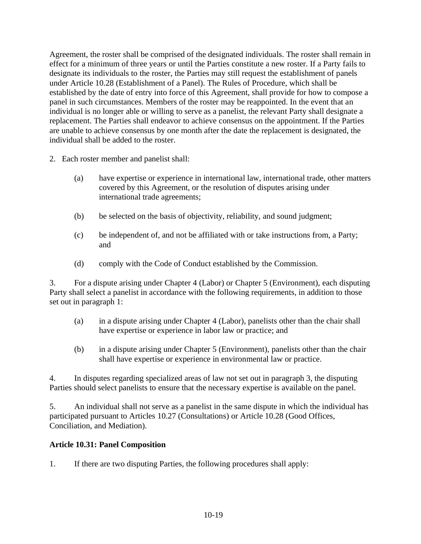Agreement, the roster shall be comprised of the designated individuals. The roster shall remain in effect for a minimum of three years or until the Parties constitute a new roster. If a Party fails to designate its individuals to the roster, the Parties may still request the establishment of panels under Article 10.28 (Establishment of a Panel). The Rules of Procedure, which shall be established by the date of entry into force of this Agreement, shall provide for how to compose a panel in such circumstances. Members of the roster may be reappointed. In the event that an individual is no longer able or willing to serve as a panelist, the relevant Party shall designate a replacement. The Parties shall endeavor to achieve consensus on the appointment. If the Parties are unable to achieve consensus by one month after the date the replacement is designated, the individual shall be added to the roster.

2. Each roster member and panelist shall:

- (a) have expertise or experience in international law, international trade, other matters covered by this Agreement, or the resolution of disputes arising under international trade agreements;
- (b) be selected on the basis of objectivity, reliability, and sound judgment;
- (c) be independent of, and not be affiliated with or take instructions from, a Party; and
- (d) comply with the Code of Conduct established by the Commission.

3. For a dispute arising under Chapter 4 (Labor) or Chapter 5 (Environment), each disputing Party shall select a panelist in accordance with the following requirements, in addition to those set out in paragraph 1:

- (a) in a dispute arising under Chapter 4 (Labor), panelists other than the chair shall have expertise or experience in labor law or practice; and
- (b) in a dispute arising under Chapter 5 (Environment), panelists other than the chair shall have expertise or experience in environmental law or practice.

4. In disputes regarding specialized areas of law not set out in paragraph 3, the disputing Parties should select panelists to ensure that the necessary expertise is available on the panel.

5. An individual shall not serve as a panelist in the same dispute in which the individual has participated pursuant to Articles 10.27 (Consultations) or Article 10.28 (Good Offices, Conciliation, and Mediation).

# **Article 10.31: Panel Composition**

1. If there are two disputing Parties, the following procedures shall apply: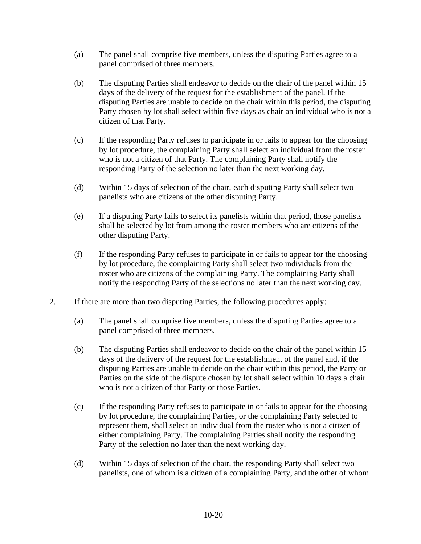- (a) The panel shall comprise five members, unless the disputing Parties agree to a panel comprised of three members.
- (b) The disputing Parties shall endeavor to decide on the chair of the panel within 15 days of the delivery of the request for the establishment of the panel. If the disputing Parties are unable to decide on the chair within this period, the disputing Party chosen by lot shall select within five days as chair an individual who is not a citizen of that Party.
- (c) If the responding Party refuses to participate in or fails to appear for the choosing by lot procedure, the complaining Party shall select an individual from the roster who is not a citizen of that Party. The complaining Party shall notify the responding Party of the selection no later than the next working day.
- (d) Within 15 days of selection of the chair, each disputing Party shall select two panelists who are citizens of the other disputing Party.
- (e) If a disputing Party fails to select its panelists within that period, those panelists shall be selected by lot from among the roster members who are citizens of the other disputing Party.
- (f) If the responding Party refuses to participate in or fails to appear for the choosing by lot procedure, the complaining Party shall select two individuals from the roster who are citizens of the complaining Party. The complaining Party shall notify the responding Party of the selections no later than the next working day.
- 2. If there are more than two disputing Parties, the following procedures apply:
	- (a) The panel shall comprise five members, unless the disputing Parties agree to a panel comprised of three members.
	- (b) The disputing Parties shall endeavor to decide on the chair of the panel within 15 days of the delivery of the request for the establishment of the panel and, if the disputing Parties are unable to decide on the chair within this period, the Party or Parties on the side of the dispute chosen by lot shall select within 10 days a chair who is not a citizen of that Party or those Parties.
	- (c) If the responding Party refuses to participate in or fails to appear for the choosing by lot procedure, the complaining Parties, or the complaining Party selected to represent them, shall select an individual from the roster who is not a citizen of either complaining Party. The complaining Parties shall notify the responding Party of the selection no later than the next working day.
	- (d) Within 15 days of selection of the chair, the responding Party shall select two panelists, one of whom is a citizen of a complaining Party, and the other of whom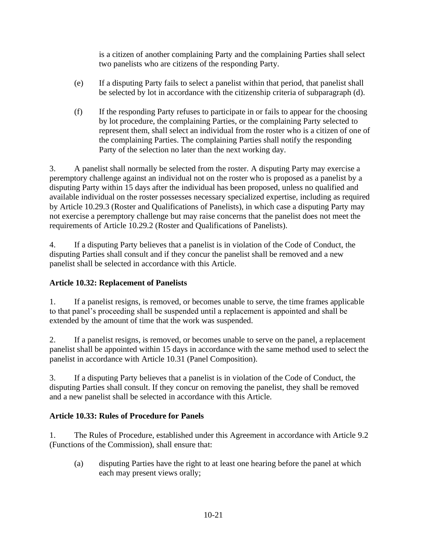is a citizen of another complaining Party and the complaining Parties shall select two panelists who are citizens of the responding Party.

- (e) If a disputing Party fails to select a panelist within that period, that panelist shall be selected by lot in accordance with the citizenship criteria of subparagraph (d).
- (f) If the responding Party refuses to participate in or fails to appear for the choosing by lot procedure, the complaining Parties, or the complaining Party selected to represent them, shall select an individual from the roster who is a citizen of one of the complaining Parties. The complaining Parties shall notify the responding Party of the selection no later than the next working day.

3. A panelist shall normally be selected from the roster. A disputing Party may exercise a peremptory challenge against an individual not on the roster who is proposed as a panelist by a disputing Party within 15 days after the individual has been proposed, unless no qualified and available individual on the roster possesses necessary specialized expertise, including as required by Article 10.29.3 (Roster and Qualifications of Panelists), in which case a disputing Party may not exercise a peremptory challenge but may raise concerns that the panelist does not meet the requirements of Article 10.29.2 (Roster and Qualifications of Panelists).

4. If a disputing Party believes that a panelist is in violation of the Code of Conduct, the disputing Parties shall consult and if they concur the panelist shall be removed and a new panelist shall be selected in accordance with this Article.

# **Article 10.32: Replacement of Panelists**

1. If a panelist resigns, is removed, or becomes unable to serve, the time frames applicable to that panel's proceeding shall be suspended until a replacement is appointed and shall be extended by the amount of time that the work was suspended.

2. If a panelist resigns, is removed, or becomes unable to serve on the panel, a replacement panelist shall be appointed within 15 days in accordance with the same method used to select the panelist in accordance with Article 10.31 (Panel Composition).

3. If a disputing Party believes that a panelist is in violation of the Code of Conduct, the disputing Parties shall consult. If they concur on removing the panelist, they shall be removed and a new panelist shall be selected in accordance with this Article.

# **Article 10.33: Rules of Procedure for Panels**

1. The Rules of Procedure, established under this Agreement in accordance with Article 9.2 (Functions of the Commission), shall ensure that:

(a) disputing Parties have the right to at least one hearing before the panel at which each may present views orally;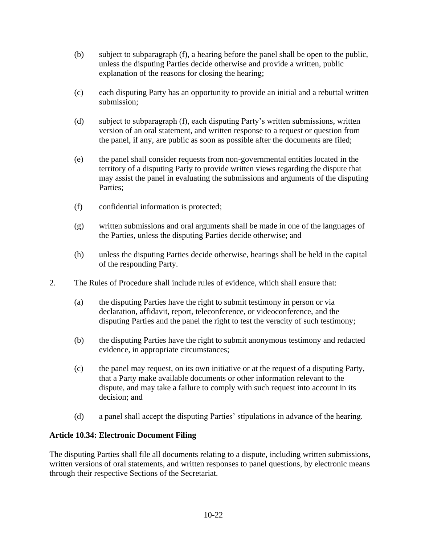- (b) subject to subparagraph (f), a hearing before the panel shall be open to the public, unless the disputing Parties decide otherwise and provide a written, public explanation of the reasons for closing the hearing;
- (c) each disputing Party has an opportunity to provide an initial and a rebuttal written submission;
- (d) subject to subparagraph (f), each disputing Party's written submissions, written version of an oral statement, and written response to a request or question from the panel, if any, are public as soon as possible after the documents are filed;
- (e) the panel shall consider requests from non-governmental entities located in the territory of a disputing Party to provide written views regarding the dispute that may assist the panel in evaluating the submissions and arguments of the disputing Parties;
- (f) confidential information is protected;
- (g) written submissions and oral arguments shall be made in one of the languages of the Parties, unless the disputing Parties decide otherwise; and
- (h) unless the disputing Parties decide otherwise, hearings shall be held in the capital of the responding Party.
- 2. The Rules of Procedure shall include rules of evidence, which shall ensure that:
	- (a) the disputing Parties have the right to submit testimony in person or via declaration, affidavit, report, teleconference, or videoconference, and the disputing Parties and the panel the right to test the veracity of such testimony;
	- (b) the disputing Parties have the right to submit anonymous testimony and redacted evidence, in appropriate circumstances;
	- (c) the panel may request, on its own initiative or at the request of a disputing Party, that a Party make available documents or other information relevant to the dispute, and may take a failure to comply with such request into account in its decision; and
	- (d) a panel shall accept the disputing Parties' stipulations in advance of the hearing.

#### **Article 10.34: Electronic Document Filing**

The disputing Parties shall file all documents relating to a dispute, including written submissions, written versions of oral statements, and written responses to panel questions, by electronic means through their respective Sections of the Secretariat.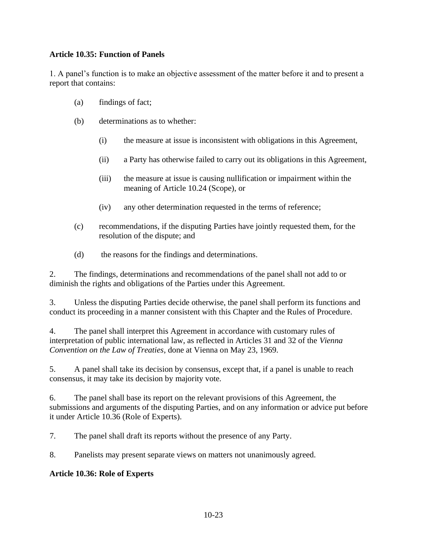#### **Article 10.35: Function of Panels**

1. A panel's function is to make an objective assessment of the matter before it and to present a report that contains:

- (a) findings of fact;
- (b) determinations as to whether:
	- (i) the measure at issue is inconsistent with obligations in this Agreement,
	- (ii) a Party has otherwise failed to carry out its obligations in this Agreement,
	- (iii) the measure at issue is causing nullification or impairment within the meaning of Article 10.24 (Scope), or
	- (iv) any other determination requested in the terms of reference;
- (c) recommendations, if the disputing Parties have jointly requested them, for the resolution of the dispute; and
- (d) the reasons for the findings and determinations.

2. The findings, determinations and recommendations of the panel shall not add to or diminish the rights and obligations of the Parties under this Agreement.

3. Unless the disputing Parties decide otherwise, the panel shall perform its functions and conduct its proceeding in a manner consistent with this Chapter and the Rules of Procedure.

4. The panel shall interpret this Agreement in accordance with customary rules of interpretation of public international law, as reflected in Articles 31 and 32 of the *Vienna Convention on the Law of Treaties*, done at Vienna on May 23, 1969.

5. A panel shall take its decision by consensus, except that, if a panel is unable to reach consensus, it may take its decision by majority vote.

6. The panel shall base its report on the relevant provisions of this Agreement, the submissions and arguments of the disputing Parties, and on any information or advice put before it under Article 10.36 (Role of Experts).

7. The panel shall draft its reports without the presence of any Party.

8. Panelists may present separate views on matters not unanimously agreed.

# **Article 10.36: Role of Experts**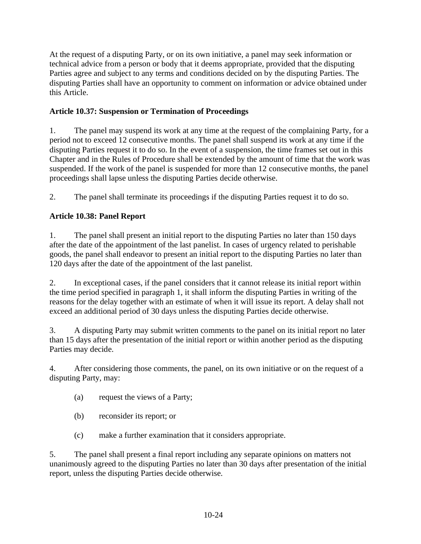At the request of a disputing Party, or on its own initiative, a panel may seek information or technical advice from a person or body that it deems appropriate, provided that the disputing Parties agree and subject to any terms and conditions decided on by the disputing Parties. The disputing Parties shall have an opportunity to comment on information or advice obtained under this Article.

# **Article 10.37: Suspension or Termination of Proceedings**

1. The panel may suspend its work at any time at the request of the complaining Party, for a period not to exceed 12 consecutive months. The panel shall suspend its work at any time if the disputing Parties request it to do so. In the event of a suspension, the time frames set out in this Chapter and in the Rules of Procedure shall be extended by the amount of time that the work was suspended. If the work of the panel is suspended for more than 12 consecutive months, the panel proceedings shall lapse unless the disputing Parties decide otherwise.

2. The panel shall terminate its proceedings if the disputing Parties request it to do so.

# **Article 10.38: Panel Report**

1. The panel shall present an initial report to the disputing Parties no later than 150 days after the date of the appointment of the last panelist. In cases of urgency related to perishable goods, the panel shall endeavor to present an initial report to the disputing Parties no later than 120 days after the date of the appointment of the last panelist.

2. In exceptional cases, if the panel considers that it cannot release its initial report within the time period specified in paragraph 1, it shall inform the disputing Parties in writing of the reasons for the delay together with an estimate of when it will issue its report. A delay shall not exceed an additional period of 30 days unless the disputing Parties decide otherwise.

3. A disputing Party may submit written comments to the panel on its initial report no later than 15 days after the presentation of the initial report or within another period as the disputing Parties may decide.

4. After considering those comments, the panel, on its own initiative or on the request of a disputing Party, may:

- (a) request the views of a Party;
- (b) reconsider its report; or
- (c) make a further examination that it considers appropriate.

5. The panel shall present a final report including any separate opinions on matters not unanimously agreed to the disputing Parties no later than 30 days after presentation of the initial report, unless the disputing Parties decide otherwise.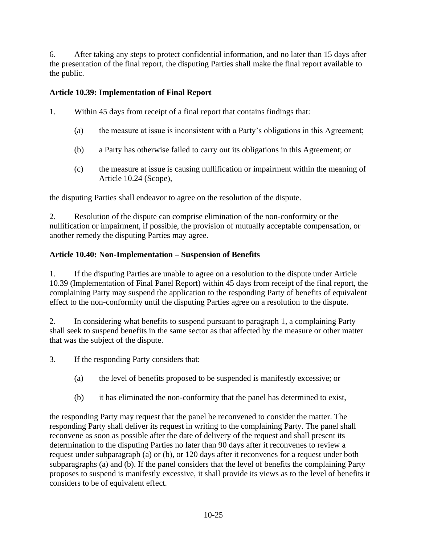6. After taking any steps to protect confidential information, and no later than 15 days after the presentation of the final report, the disputing Parties shall make the final report available to the public.

# **Article 10.39: Implementation of Final Report**

- 1. Within 45 days from receipt of a final report that contains findings that:
	- (a) the measure at issue is inconsistent with a Party's obligations in this Agreement;
	- (b) a Party has otherwise failed to carry out its obligations in this Agreement; or
	- (c) the measure at issue is causing nullification or impairment within the meaning of Article 10.24 (Scope),

the disputing Parties shall endeavor to agree on the resolution of the dispute.

2. Resolution of the dispute can comprise elimination of the non-conformity or the nullification or impairment, if possible, the provision of mutually acceptable compensation, or another remedy the disputing Parties may agree.

#### **Article 10.40: Non-Implementation – Suspension of Benefits**

1. If the disputing Parties are unable to agree on a resolution to the dispute under Article 10.39 (Implementation of Final Panel Report) within 45 days from receipt of the final report, the complaining Party may suspend the application to the responding Party of benefits of equivalent effect to the non-conformity until the disputing Parties agree on a resolution to the dispute.

2. In considering what benefits to suspend pursuant to paragraph 1, a complaining Party shall seek to suspend benefits in the same sector as that affected by the measure or other matter that was the subject of the dispute.

3. If the responding Party considers that:

- (a) the level of benefits proposed to be suspended is manifestly excessive; or
- (b) it has eliminated the non-conformity that the panel has determined to exist,

the responding Party may request that the panel be reconvened to consider the matter. The responding Party shall deliver its request in writing to the complaining Party. The panel shall reconvene as soon as possible after the date of delivery of the request and shall present its determination to the disputing Parties no later than 90 days after it reconvenes to review a request under subparagraph (a) or (b), or 120 days after it reconvenes for a request under both subparagraphs (a) and (b). If the panel considers that the level of benefits the complaining Party proposes to suspend is manifestly excessive, it shall provide its views as to the level of benefits it considers to be of equivalent effect.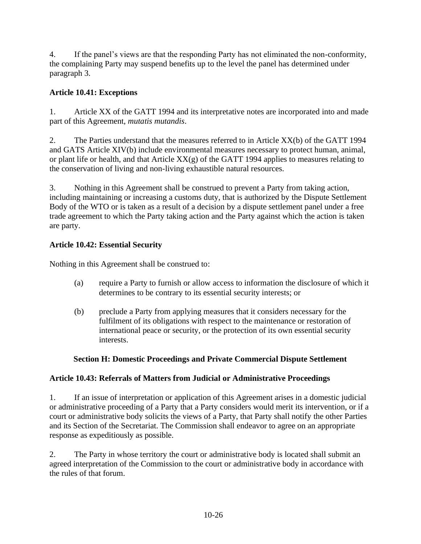4. If the panel's views are that the responding Party has not eliminated the non-conformity, the complaining Party may suspend benefits up to the level the panel has determined under paragraph 3.

# **Article 10.41: Exceptions**

1. Article XX of the GATT 1994 and its interpretative notes are incorporated into and made part of this Agreement, *mutatis mutandis*.

2. The Parties understand that the measures referred to in Article XX(b) of the GATT 1994 and GATS Article XIV(b) include environmental measures necessary to protect human, animal, or plant life or health, and that Article  $XX(g)$  of the GATT 1994 applies to measures relating to the conservation of living and non-living exhaustible natural resources.

3. Nothing in this Agreement shall be construed to prevent a Party from taking action, including maintaining or increasing a customs duty, that is authorized by the Dispute Settlement Body of the WTO or is taken as a result of a decision by a dispute settlement panel under a free trade agreement to which the Party taking action and the Party against which the action is taken are party.

# **Article 10.42: Essential Security**

Nothing in this Agreement shall be construed to:

- (a) require a Party to furnish or allow access to information the disclosure of which it determines to be contrary to its essential security interests; or
- (b) preclude a Party from applying measures that it considers necessary for the fulfilment of its obligations with respect to the maintenance or restoration of international peace or security, or the protection of its own essential security interests.

# **Section H: Domestic Proceedings and Private Commercial Dispute Settlement**

# **Article 10.43: Referrals of Matters from Judicial or Administrative Proceedings**

1. If an issue of interpretation or application of this Agreement arises in a domestic judicial or administrative proceeding of a Party that a Party considers would merit its intervention, or if a court or administrative body solicits the views of a Party, that Party shall notify the other Parties and its Section of the Secretariat. The Commission shall endeavor to agree on an appropriate response as expeditiously as possible.

2. The Party in whose territory the court or administrative body is located shall submit an agreed interpretation of the Commission to the court or administrative body in accordance with the rules of that forum.